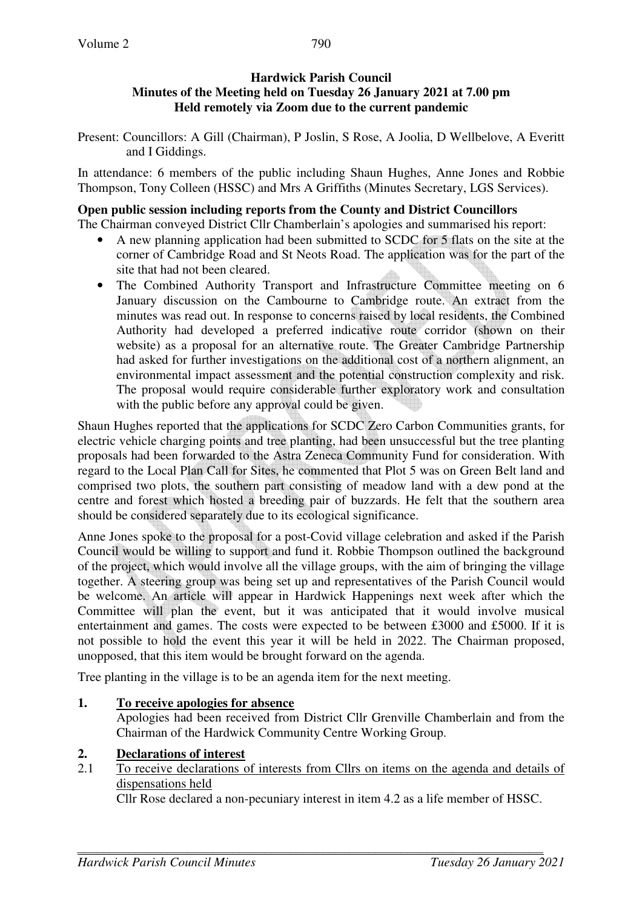### **Hardwick Parish Council Minutes of the Meeting held on Tuesday 26 January 2021 at 7.00 pm Held remotely via Zoom due to the current pandemic**

Present: Councillors: A Gill (Chairman), P Joslin, S Rose, A Joolia, D Wellbelove, A Everitt and I Giddings.

In attendance: 6 members of the public including Shaun Hughes, Anne Jones and Robbie Thompson, Tony Colleen (HSSC) and Mrs A Griffiths (Minutes Secretary, LGS Services).

## **Open public session including reports from the County and District Councillors**

The Chairman conveyed District Cllr Chamberlain's apologies and summarised his report:

- A new planning application had been submitted to SCDC for 5 flats on the site at the corner of Cambridge Road and St Neots Road. The application was for the part of the site that had not been cleared.
- The Combined Authority Transport and Infrastructure Committee meeting on 6 January discussion on the Cambourne to Cambridge route. An extract from the minutes was read out. In response to concerns raised by local residents, the Combined Authority had developed a preferred indicative route corridor (shown on their website) as a proposal for an alternative route. The Greater Cambridge Partnership had asked for further investigations on the additional cost of a northern alignment, an environmental impact assessment and the potential construction complexity and risk. The proposal would require considerable further exploratory work and consultation with the public before any approval could be given.

Shaun Hughes reported that the applications for SCDC Zero Carbon Communities grants, for electric vehicle charging points and tree planting, had been unsuccessful but the tree planting proposals had been forwarded to the Astra Zeneca Community Fund for consideration. With regard to the Local Plan Call for Sites, he commented that Plot 5 was on Green Belt land and comprised two plots, the southern part consisting of meadow land with a dew pond at the centre and forest which hosted a breeding pair of buzzards. He felt that the southern area should be considered separately due to its ecological significance.

Anne Jones spoke to the proposal for a post-Covid village celebration and asked if the Parish Council would be willing to support and fund it. Robbie Thompson outlined the background of the project, which would involve all the village groups, with the aim of bringing the village together. A steering group was being set up and representatives of the Parish Council would be welcome. An article will appear in Hardwick Happenings next week after which the Committee will plan the event, but it was anticipated that it would involve musical entertainment and games. The costs were expected to be between £3000 and £5000. If it is not possible to hold the event this year it will be held in 2022. The Chairman proposed, unopposed, that this item would be brought forward on the agenda.

Tree planting in the village is to be an agenda item for the next meeting.

# **1. To receive apologies for absence**

Apologies had been received from District Cllr Grenville Chamberlain and from the Chairman of the Hardwick Community Centre Working Group.

# **2. Declarations of interest**

2.1 To receive declarations of interests from Cllrs on items on the agenda and details of dispensations held

Cllr Rose declared a non-pecuniary interest in item 4.2 as a life member of HSSC.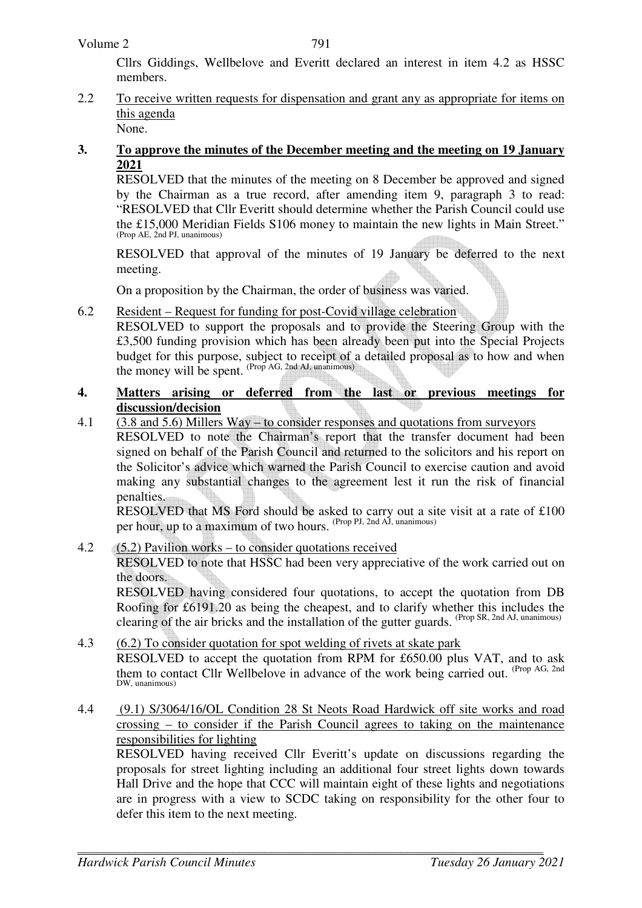#### Volume 2

Cllrs Giddings, Wellbelove and Everitt declared an interest in item 4.2 as HSSC members.

2.2 To receive written requests for dispensation and grant any as appropriate for items on this agenda None.

#### **3. To approve the minutes of the December meeting and the meeting on 19 January 2021**

RESOLVED that the minutes of the meeting on 8 December be approved and signed by the Chairman as a true record, after amending item 9, paragraph 3 to read: "RESOLVED that Cllr Everitt should determine whether the Parish Council could use the £15,000 Meridian Fields S106 money to maintain the new lights in Main Street." (Prop AE, 2nd PJ, unanimous)

RESOLVED that approval of the minutes of 19 January be deferred to the next meeting.

On a proposition by the Chairman, the order of business was varied.

6.2 Resident – Request for funding for post-Covid village celebration

 RESOLVED to support the proposals and to provide the Steering Group with the £3,500 funding provision which has been already been put into the Special Projects budget for this purpose, subject to receipt of a detailed proposal as to how and when the money will be spent.  $(Prop AG, 2nd AI, unanimous)$ 

#### **4. Matters arising or deferred from the last or previous meetings for discussion/decision**

4.1 (3.8 and 5.6) Millers Way – to consider responses and quotations from surveyors

RESOLVED to note the Chairman's report that the transfer document had been signed on behalf of the Parish Council and returned to the solicitors and his report on the Solicitor's advice which warned the Parish Council to exercise caution and avoid making any substantial changes to the agreement lest it run the risk of financial penalties.

RESOLVED that MS Ford should be asked to carry out a site visit at a rate of £100 per hour, up to a maximum of two hours. <sup>(Prop PJ, 2nd AJ, unanimous)</sup>

#### 4.2 (5.2) Pavilion works – to consider quotations received

RESOLVED to note that HSSC had been very appreciative of the work carried out on the doors.

RESOLVED having considered four quotations, to accept the quotation from DB Roofing for £6191.20 as being the cheapest, and to clarify whether this includes the clearing of the air bricks and the installation of the gutter guards. (Prop SR, 2nd AJ, unanimous)

- 4.3 (6.2) To consider quotation for spot welding of rivets at skate park RESOLVED to accept the quotation from RPM for £650.00 plus VAT, and to ask them to contact Cllr Wellbelove in advance of the work being carried out. (Prop AG, 2nd DW, unanimous)
- 4.4 (9.1) S/3064/16/OL Condition 28 St Neots Road Hardwick off site works and road crossing – to consider if the Parish Council agrees to taking on the maintenance responsibilities for lighting

RESOLVED having received Cllr Everitt's update on discussions regarding the proposals for street lighting including an additional four street lights down towards Hall Drive and the hope that CCC will maintain eight of these lights and negotiations are in progress with a view to SCDC taking on responsibility for the other four to defer this item to the next meeting.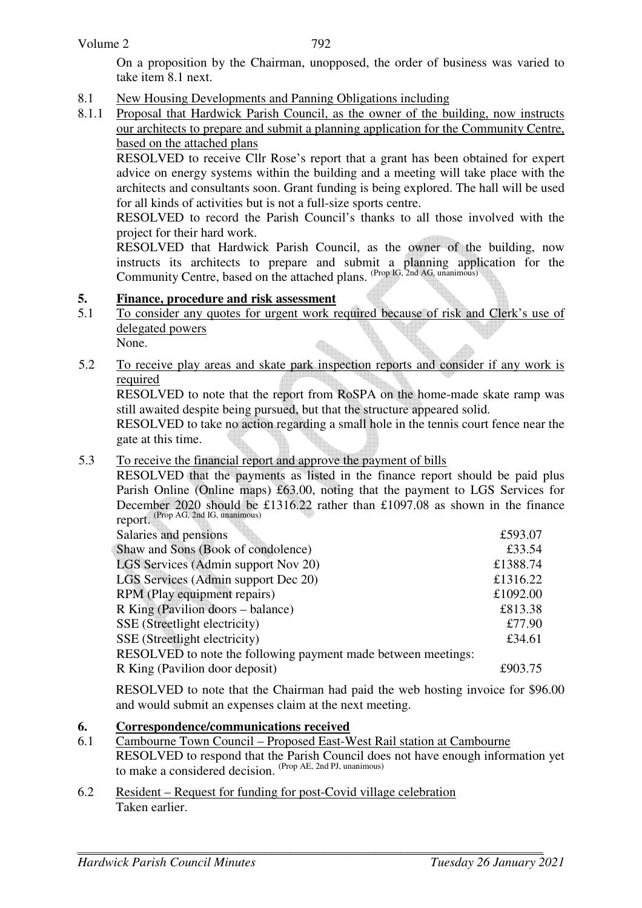On a proposition by the Chairman, unopposed, the order of business was varied to take item 8.1 next.

- 8.1 New Housing Developments and Panning Obligations including
- 8.1.1 Proposal that Hardwick Parish Council, as the owner of the building, now instructs our architects to prepare and submit a planning application for the Community Centre, based on the attached plans

RESOLVED to receive Cllr Rose's report that a grant has been obtained for expert advice on energy systems within the building and a meeting will take place with the architects and consultants soon. Grant funding is being explored. The hall will be used for all kinds of activities but is not a full-size sports centre.

RESOLVED to record the Parish Council's thanks to all those involved with the project for their hard work.

RESOLVED that Hardwick Parish Council, as the owner of the building, now instructs its architects to prepare and submit a planning application for the Community Centre, based on the attached plans. (Prop IG, 2nd AG, unanimous)

#### **5. Finance, procedure and risk assessment**

- 5.1 To consider any quotes for urgent work required because of risk and Clerk's use of delegated powers None.  $\bigoplus$
- 5.2 To receive play areas and skate park inspection reports and consider if any work is required

RESOLVED to note that the report from RoSPA on the home-made skate ramp was still awaited despite being pursued, but that the structure appeared solid.

RESOLVED to take no action regarding a small hole in the tennis court fence near the gate at this time.

#### 5.3 To receive the financial report and approve the payment of bills

RESOLVED that the payments as listed in the finance report should be paid plus Parish Online (Online maps) £63.00, noting that the payment to LGS Services for December 2020 should be £1316.22 rather than £1097.08 as shown in the finance report. (Prop AG, 2nd IG, unanimous)

| Salaries and pensions                                         | £593.07  |
|---------------------------------------------------------------|----------|
| Shaw and Sons (Book of condolence)                            | £33.54   |
| LGS Services (Admin support Nov 20)                           | £1388.74 |
| LGS Services (Admin support Dec 20)                           | £1316.22 |
| RPM (Play equipment repairs)                                  | £1092.00 |
| R King (Pavilion doors – balance)                             | £813.38  |
| SSE (Streetlight electricity)                                 | £77.90   |
| SSE (Streetlight electricity)                                 | £34.61   |
| RESOLVED to note the following payment made between meetings: |          |
| R King (Pavilion door deposit)                                | £903.75  |

RESOLVED to note that the Chairman had paid the web hosting invoice for \$96.00 and would submit an expenses claim at the next meeting.

#### **6. Correspondence/communications received**

- 6.1 Cambourne Town Council Proposed East-West Rail station at Cambourne RESOLVED to respond that the Parish Council does not have enough information yet to make a considered decision. (Prop AE, 2nd PJ, unanimous)
- 6.2 Resident Request for funding for post-Covid village celebration Taken earlier.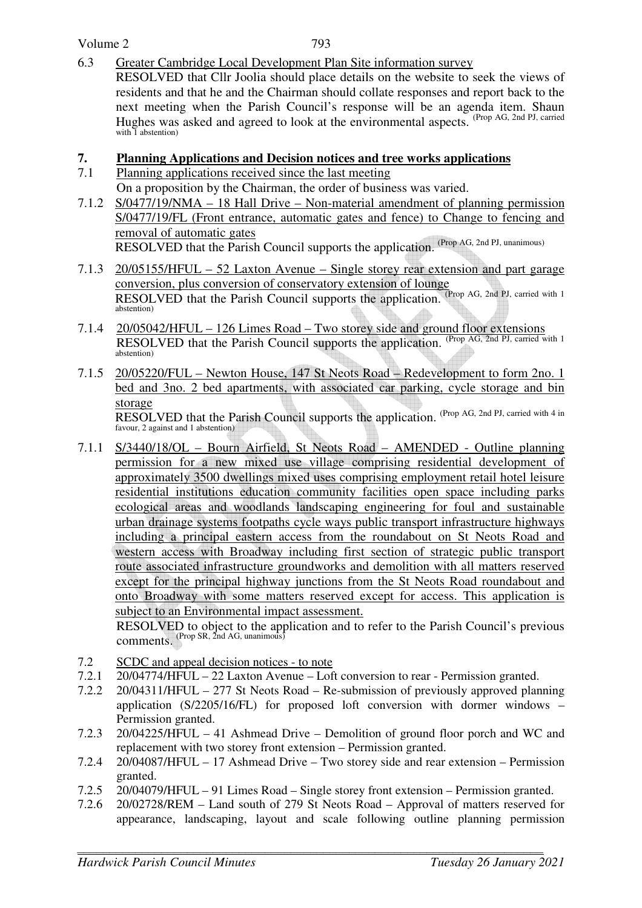Volume 2

6.3 Greater Cambridge Local Development Plan Site information survey

 RESOLVED that Cllr Joolia should place details on the website to seek the views of residents and that he and the Chairman should collate responses and report back to the next meeting when the Parish Council's response will be an agenda item. Shaun Hughes was asked and agreed to look at the environmental aspects. (Prop AG, 2nd PJ, carried with 1 abstention)

### **7. Planning Applications and Decision notices and tree works applications**

- 7.1 Planning applications received since the last meeting On a proposition by the Chairman, the order of business was varied.
- 7.1.2 S/0477/19/NMA 18 Hall Drive Non-material amendment of planning permission S/0477/19/FL (Front entrance, automatic gates and fence) to Change to fencing and removal of automatic gates RESOLVED that the Parish Council supports the application. (Prop AG, 2nd PJ, unanimous)
- 7.1.3 20/05155/HFUL 52 Laxton Avenue Single storey rear extension and part garage conversion, plus conversion of conservatory extension of lounge RESOLVED that the Parish Council supports the application. (Prop AG, 2nd PJ, carried with 1) abstention)
- 7.1.4 20/05042/HFUL 126 Limes Road Two storey side and ground floor extensions RESOLVED that the Parish Council supports the application. (Prop AG, 2nd PJ, carried with 1 abstention)
- 7.1.5 20/05220/FUL Newton House, 147 St Neots Road Redevelopment to form 2no. 1 bed and 3no. 2 bed apartments, with associated car parking, cycle storage and bin storage RESOLVED that the Parish Council supports the application. (Prop AG, 2nd PJ, carried with 4 in

favour, 2 against and 1 abstention)

7.1.1 S/3440/18/OL – Bourn Airfield, St Neots Road – AMENDED - Outline planning permission for a new mixed use village comprising residential development of approximately 3500 dwellings mixed uses comprising employment retail hotel leisure residential institutions education community facilities open space including parks ecological areas and woodlands landscaping engineering for foul and sustainable urban drainage systems footpaths cycle ways public transport infrastructure highways including a principal eastern access from the roundabout on St Neots Road and western access with Broadway including first section of strategic public transport route associated infrastructure groundworks and demolition with all matters reserved except for the principal highway junctions from the St Neots Road roundabout and onto Broadway with some matters reserved except for access. This application is subject to an Environmental impact assessment.

 RESOLVED to object to the application and to refer to the Parish Council's previous **comments.** (Prop SR, 2nd AG, unanimous)

- 7.2 SCDC and appeal decision notices to note
- 7.2.1 20/04774/HFUL 22 Laxton Avenue Loft conversion to rear Permission granted.
- 7.2.2 20/04311/HFUL 277 St Neots Road Re-submission of previously approved planning application (S/2205/16/FL) for proposed loft conversion with dormer windows – Permission granted.
- 7.2.3 20/04225/HFUL 41 Ashmead Drive Demolition of ground floor porch and WC and replacement with two storey front extension – Permission granted.
- 7.2.4 20/04087/HFUL 17 Ashmead Drive Two storey side and rear extension Permission granted.
- 7.2.5 20/04079/HFUL 91 Limes Road Single storey front extension Permission granted.
- 7.2.6 20/02728/REM Land south of 279 St Neots Road Approval of matters reserved for appearance, landscaping, layout and scale following outline planning permission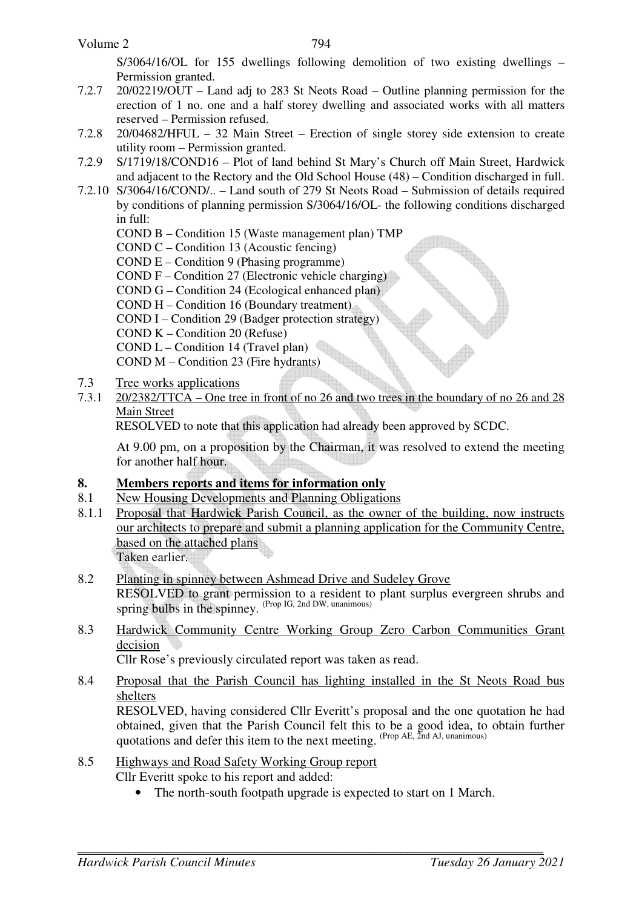S/3064/16/OL for 155 dwellings following demolition of two existing dwellings – Permission granted.

- 7.2.7 20/02219/OUT Land adj to 283 St Neots Road Outline planning permission for the erection of 1 no. one and a half storey dwelling and associated works with all matters reserved – Permission refused.
- 7.2.8 20/04682/HFUL 32 Main Street Erection of single storey side extension to create utility room – Permission granted.
- 7.2.9 S/1719/18/COND16 Plot of land behind St Mary's Church off Main Street, Hardwick and adjacent to the Rectory and the Old School House (48) – Condition discharged in full.
- 7.2.10 S/3064/16/COND/.. Land south of 279 St Neots Road Submission of details required by conditions of planning permission S/3064/16/OL- the following conditions discharged in full:
	- COND B Condition 15 (Waste management plan) TMP
	- COND C Condition 13 (Acoustic fencing)
	- COND E Condition 9 (Phasing programme)
	- COND F Condition 27 (Electronic vehicle charging)
	- COND G Condition 24 (Ecological enhanced plan)
	- COND H Condition 16 (Boundary treatment)
	- COND I Condition 29 (Badger protection strategy)
	- COND K Condition 20 (Refuse)
	- COND L Condition 14 (Travel plan)
	- COND M Condition 23 (Fire hydrants)
- 7.3 Tree works applications
- 7.3.1 20/2382/TTCA One tree in front of no 26 and two trees in the boundary of no 26 and 28 Main Street

RESOLVED to note that this application had already been approved by SCDC.

At 9.00 pm, on a proposition by the Chairman, it was resolved to extend the meeting for another half hour.

#### **8. Members reports and items for information only**

- 8.1 New Housing Developments and Planning Obligations
- 8.1.1 Proposal that Hardwick Parish Council, as the owner of the building, now instructs our architects to prepare and submit a planning application for the Community Centre, based on the attached plans Taken earlier.

- 8.2 Planting in spinney between Ashmead Drive and Sudeley Grove RESOLVED to grant permission to a resident to plant surplus evergreen shrubs and spring bulbs in the spinney. (Prop IG, 2nd DW, unanimous)
- 8.3 Hardwick Community Centre Working Group Zero Carbon Communities Grant decision

Cllr Rose's previously circulated report was taken as read.

8.4 Proposal that the Parish Council has lighting installed in the St Neots Road bus shelters

RESOLVED, having considered Cllr Everitt's proposal and the one quotation he had obtained, given that the Parish Council felt this to be a good idea, to obtain further quotations and defer this item to the next meeting. (Prop AE, 2nd AJ, unanimous)

8.5 Highways and Road Safety Working Group report

Cllr Everitt spoke to his report and added:

• The north-south footpath upgrade is expected to start on 1 March.